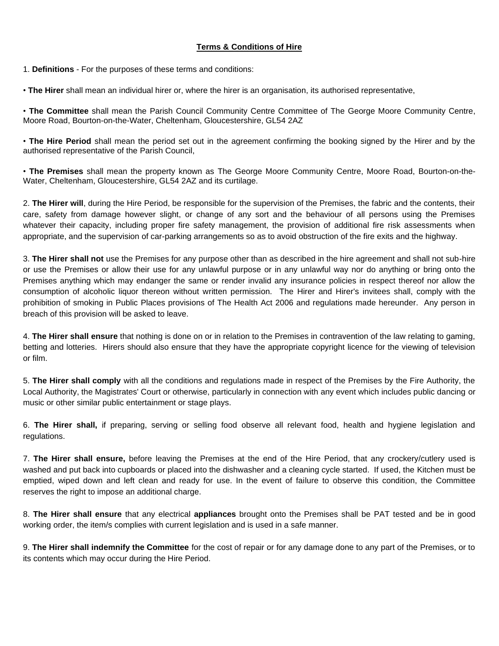## **Terms & Conditions of Hire**

1. **Definitions** - For the purposes of these terms and conditions:

• **The Hirer** shall mean an individual hirer or, where the hirer is an organisation, its authorised representative,

• **The Committee** shall mean the Parish Council Community Centre Committee of The George Moore Community Centre, Moore Road, Bourton-on-the-Water, Cheltenham, Gloucestershire, GL54 2AZ

• **The Hire Period** shall mean the period set out in the agreement confirming the booking signed by the Hirer and by the authorised representative of the Parish Council,

• **The Premises** shall mean the property known as The George Moore Community Centre, Moore Road, Bourton-on-the-Water, Cheltenham, Gloucestershire, GL54 2AZ and its curtilage.

2. **The Hirer will**, during the Hire Period, be responsible for the supervision of the Premises, the fabric and the contents, their care, safety from damage however slight, or change of any sort and the behaviour of all persons using the Premises whatever their capacity, including proper fire safety management, the provision of additional fire risk assessments when appropriate, and the supervision of car-parking arrangements so as to avoid obstruction of the fire exits and the highway.

3. **The Hirer shall not** use the Premises for any purpose other than as described in the hire agreement and shall not sub-hire or use the Premises or allow their use for any unlawful purpose or in any unlawful way nor do anything or bring onto the Premises anything which may endanger the same or render invalid any insurance policies in respect thereof nor allow the consumption of alcoholic liquor thereon without written permission. The Hirer and Hirer's invitees shall, comply with the prohibition of smoking in Public Places provisions of The Health Act 2006 and regulations made hereunder. Any person in breach of this provision will be asked to leave.

4. **The Hirer shall ensure** that nothing is done on or in relation to the Premises in contravention of the law relating to gaming, betting and lotteries. Hirers should also ensure that they have the appropriate copyright licence for the viewing of television or film.

5. **The Hirer shall comply** with all the conditions and regulations made in respect of the Premises by the Fire Authority, the Local Authority, the Magistrates' Court or otherwise, particularly in connection with any event which includes public dancing or music or other similar public entertainment or stage plays.

6. **The Hirer shall,** if preparing, serving or selling food observe all relevant food, health and hygiene legislation and regulations.

7. **The Hirer shall ensure,** before leaving the Premises at the end of the Hire Period, that any crockery/cutlery used is washed and put back into cupboards or placed into the dishwasher and a cleaning cycle started. If used, the Kitchen must be emptied, wiped down and left clean and ready for use. In the event of failure to observe this condition, the Committee reserves the right to impose an additional charge.

8. **The Hirer shall ensure** that any electrical **appliances** brought onto the Premises shall be PAT tested and be in good working order, the item/s complies with current legislation and is used in a safe manner.

9. **The Hirer shall indemnify the Committee** for the cost of repair or for any damage done to any part of the Premises, or to its contents which may occur during the Hire Period.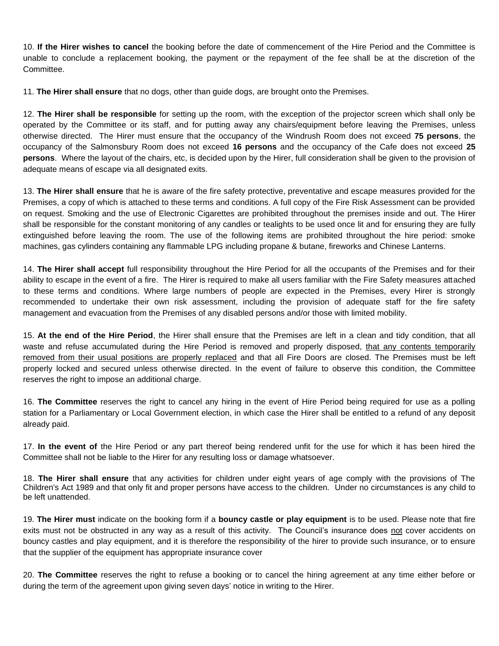10. **If the Hirer wishes to cancel** the booking before the date of commencement of the Hire Period and the Committee is unable to conclude a replacement booking, the payment or the repayment of the fee shall be at the discretion of the Committee.

11. **The Hirer shall ensure** that no dogs, other than guide dogs, are brought onto the Premises.

12. **The Hirer shall be responsible** for setting up the room, with the exception of the projector screen which shall only be operated by the Committee or its staff, and for putting away any chairs/equipment before leaving the Premises, unless otherwise directed. The Hirer must ensure that the occupancy of the Windrush Room does not exceed **75 persons**, the occupancy of the Salmonsbury Room does not exceed **16 persons** and the occupancy of the Cafe does not exceed **25 persons**. Where the layout of the chairs, etc, is decided upon by the Hirer, full consideration shall be given to the provision of adequate means of escape via all designated exits.

13. **The Hirer shall ensure** that he is aware of the fire safety protective, preventative and escape measures provided for the Premises, a copy of which is attached to these terms and conditions. A full copy of the Fire Risk Assessment can be provided on request. Smoking and the use of Electronic Cigarettes are prohibited throughout the premises inside and out. The Hirer shall be responsible for the constant monitoring of any candles or tealights to be used once lit and for ensuring they are fully extinguished before leaving the room. The use of the following items are prohibited throughout the hire period: smoke machines, gas cylinders containing any flammable LPG including propane & butane, fireworks and Chinese Lanterns.

14. **The Hirer shall accept** full responsibility throughout the Hire Period for all the occupants of the Premises and for their ability to escape in the event of a fire. The Hirer is required to make all users familiar with the Fire Safety measures attached to these terms and conditions. Where large numbers of people are expected in the Premises, every Hirer is strongly recommended to undertake their own risk assessment, including the provision of adequate staff for the fire safety management and evacuation from the Premises of any disabled persons and/or those with limited mobility.

15. **At the end of the Hire Period**, the Hirer shall ensure that the Premises are left in a clean and tidy condition, that all waste and refuse accumulated during the Hire Period is removed and properly disposed, that any contents temporarily removed from their usual positions are properly replaced and that all Fire Doors are closed. The Premises must be left properly locked and secured unless otherwise directed. In the event of failure to observe this condition, the Committee reserves the right to impose an additional charge.

16. **The Committee** reserves the right to cancel any hiring in the event of Hire Period being required for use as a polling station for a Parliamentary or Local Government election, in which case the Hirer shall be entitled to a refund of any deposit already paid.

17. **In the event of** the Hire Period or any part thereof being rendered unfit for the use for which it has been hired the Committee shall not be liable to the Hirer for any resulting loss or damage whatsoever.

18. **The Hirer shall ensure** that any activities for children under eight years of age comply with the provisions of The Children's Act 1989 and that only fit and proper persons have access to the children. Under no circumstances is any child to be left unattended.

19. **The Hirer must** indicate on the booking form if a **bouncy castle or play equipment** is to be used. Please note that fire exits must not be obstructed in any way as a result of this activity. The Council's insurance does not cover accidents on bouncy castles and play equipment, and it is therefore the responsibility of the hirer to provide such insurance, or to ensure that the supplier of the equipment has appropriate insurance cover

20. **The Committee** reserves the right to refuse a booking or to cancel the hiring agreement at any time either before or during the term of the agreement upon giving seven days' notice in writing to the Hirer.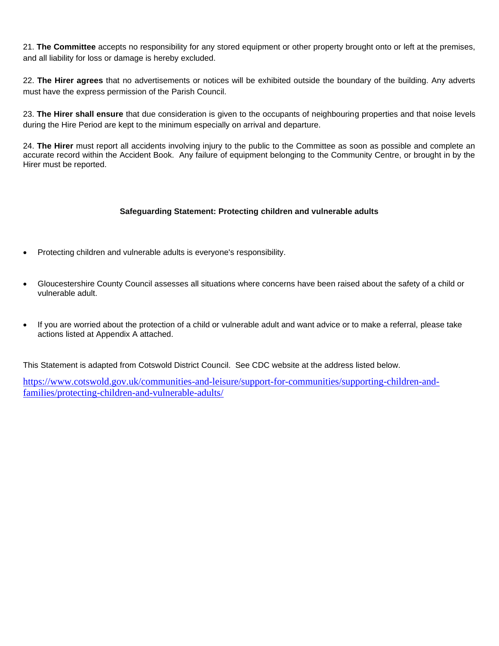21. **The Committee** accepts no responsibility for any stored equipment or other property brought onto or left at the premises, and all liability for loss or damage is hereby excluded.

22. **The Hirer agrees** that no advertisements or notices will be exhibited outside the boundary of the building. Any adverts must have the express permission of the Parish Council.

23. **The Hirer shall ensure** that due consideration is given to the occupants of neighbouring properties and that noise levels during the Hire Period are kept to the minimum especially on arrival and departure.

24. **The Hirer** must report all accidents involving injury to the public to the Committee as soon as possible and complete an accurate record within the Accident Book. Any failure of equipment belonging to the Community Centre, or brought in by the Hirer must be reported.

## **Safeguarding Statement: Protecting children and vulnerable adults**

- Protecting children and vulnerable adults is everyone's responsibility.
- Gloucestershire County Council assesses all situations where concerns have been raised about the safety of a child or vulnerable adult.
- If you are worried about the protection of a child or vulnerable adult and want advice or to make a referral, please take actions listed at Appendix A attached.

This Statement is adapted from Cotswold District Council. See CDC website at the address listed below.

[https://www.cotswold.gov.uk/communities-and-leisure/support-for-communities/supporting-children-and](https://www.cotswold.gov.uk/communities-and-leisure/support-for-communities/supporting-children-and-families/protecting-children-and-vulnerable-adults/)[families/protecting-children-and-vulnerable-adults/](https://www.cotswold.gov.uk/communities-and-leisure/support-for-communities/supporting-children-and-families/protecting-children-and-vulnerable-adults/)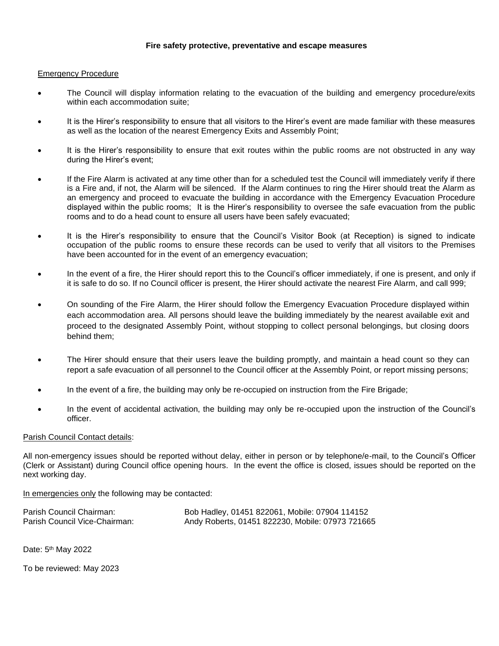## **Fire safety protective, preventative and escape measures**

#### Emergency Procedure

- The Council will display information relating to the evacuation of the building and emergency procedure/exits within each accommodation suite;
- It is the Hirer's responsibility to ensure that all visitors to the Hirer's event are made familiar with these measures as well as the location of the nearest Emergency Exits and Assembly Point;
- It is the Hirer's responsibility to ensure that exit routes within the public rooms are not obstructed in any way during the Hirer's event;
- If the Fire Alarm is activated at any time other than for a scheduled test the Council will immediately verify if there is a Fire and, if not, the Alarm will be silenced. If the Alarm continues to ring the Hirer should treat the Alarm as an emergency and proceed to evacuate the building in accordance with the Emergency Evacuation Procedure displayed within the public rooms; It is the Hirer's responsibility to oversee the safe evacuation from the public rooms and to do a head count to ensure all users have been safely evacuated;
- It is the Hirer's responsibility to ensure that the Council's Visitor Book (at Reception) is signed to indicate occupation of the public rooms to ensure these records can be used to verify that all visitors to the Premises have been accounted for in the event of an emergency evacuation;
- In the event of a fire, the Hirer should report this to the Council's officer immediately, if one is present, and only if it is safe to do so. If no Council officer is present, the Hirer should activate the nearest Fire Alarm, and call 999;
- On sounding of the Fire Alarm, the Hirer should follow the Emergency Evacuation Procedure displayed within each accommodation area. All persons should leave the building immediately by the nearest available exit and proceed to the designated Assembly Point, without stopping to collect personal belongings, but closing doors behind them;
- The Hirer should ensure that their users leave the building promptly, and maintain a head count so they can report a safe evacuation of all personnel to the Council officer at the Assembly Point, or report missing persons;
- In the event of a fire, the building may only be re-occupied on instruction from the Fire Brigade;
- In the event of accidental activation, the building may only be re-occupied upon the instruction of the Council's officer.

#### Parish Council Contact details:

All non-emergency issues should be reported without delay, either in person or by telephone/e-mail, to the Council's Officer (Clerk or Assistant) during Council office opening hours. In the event the office is closed, issues should be reported on the next working day.

In emergencies only the following may be contacted:

| Parish Council Chairman:      | Bob Hadley, 01451 822061, Mobile: 07904 114152   |
|-------------------------------|--------------------------------------------------|
| Parish Council Vice-Chairman: | Andy Roberts, 01451 822230, Mobile: 07973 721665 |

Date: 5<sup>th</sup> May 2022

To be reviewed: May 2023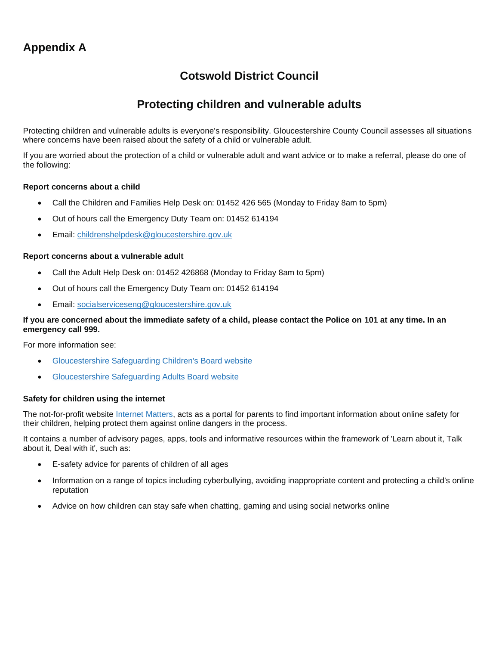# **Cotswold District Council**

## **Protecting children and vulnerable adults**

Protecting children and vulnerable adults is everyone's responsibility. Gloucestershire County Council assesses all situations where concerns have been raised about the safety of a child or vulnerable adult.

If you are worried about the protection of a child or vulnerable adult and want advice or to make a referral, please do one of the following:

## **Report concerns about a child**

- Call the Children and Families Help Desk on: 01452 426 565 (Monday to Friday 8am to 5pm)
- Out of hours call the Emergency Duty Team on: 01452 614194
- Email: [childrenshelpdesk@gloucestershire.gov.uk](mailto:childrenshelpdesk@gloucestershire.gov.uk)

#### **Report concerns about a vulnerable adult**

- Call the Adult Help Desk on: 01452 426868 (Monday to Friday 8am to 5pm)
- Out of hours call the Emergency Duty Team on: 01452 614194
- Email: [socialserviceseng@gloucestershire.gov.uk](mailto:socialserviceseng@gloucestershire.gov.uk)

## **If you are concerned about the immediate safety of a child, please contact the Police on 101 at any time. In an emergency call 999.**

For more information see:

- [Gloucestershire Safeguarding Children's Board website](http://www.gscb.org.uk/)
- [Gloucestershire Safeguarding Adults Board website](http://www.gloucestershire.gov.uk/gsab)

#### **Safety for children using the internet**

The not-for-profit website *Internet Matters*, acts as a portal for parents to find important information about online safety for their children, helping protect them against online dangers in the process.

It contains a number of advisory pages, apps, tools and informative resources within the framework of 'Learn about it, Talk about it, Deal with it', such as:

- E-safety advice for parents of children of all ages
- Information on a range of topics including cyberbullying, avoiding inappropriate content and protecting a child's online reputation
- Advice on how children can stay safe when chatting, gaming and using social networks online